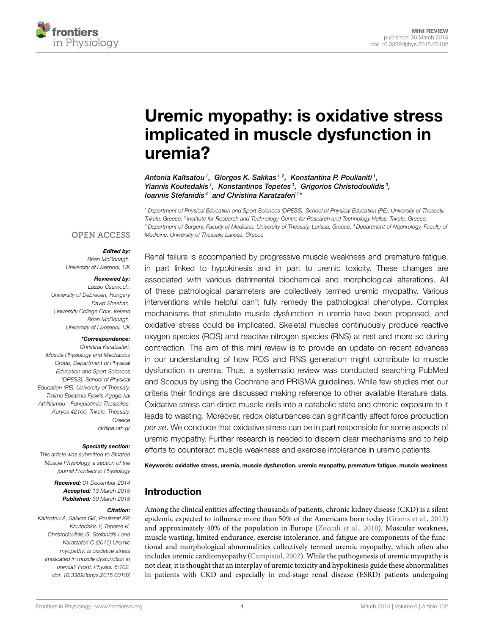

# [Uremic myopathy: is oxidative stress](http://www.frontiersin.org/journal/10.3389/fphys.2015.00102/abstract) implicated in muscle dysfunction in uremia?

[Antonia Kaltsatou](http://community.frontiersin.org/people/u/197202) <sup>1</sup>,  [Giorgos K. Sakkas](http://community.frontiersin.org/people/u/39449) <sup>1, 2</sup>,  [Konstantina P. Poulianiti](http://community.frontiersin.org/people/u/223360) <sup>1</sup>, Yiannis Koutedakis<sup>1</sup>, Konstantinos Tepetes<sup>3</sup>, Grigorios Christodoulidis<sup>3</sup>, loannis Stefanidis<sup>4</sup> and [Christina Karatzaferi](http://community.frontiersin.org/people/u/28721)<sup>1\*</sup>

*<sup>1</sup> Department of Physical Education and Sport Sciences (DPESS), School of Physical Education (PE), University of Thessaly, Trikala, Greece, <sup>2</sup> Institute for Research and Technology-Centre for Research and Technology Hellas, Trikala, Greece, <sup>3</sup> Department of Surgery, Faculty of Medicine, University of Thessaly, Larissa, Greece, <sup>4</sup> Department of Nephrology, Faculty of Medicine, University of Thessaly, Larissa, Greece*

### **OPEN ACCESS**

#### Edited by:

*Brian McDonagh, University of Liverpool, UK*

#### Reviewed by:

*Laszlo Csernoch, University of Debrecen, Hungary David Sheehan, University College Cork, Ireland Brian McDonagh, University of Liverpool, UK*

#### \*Correspondence:

*Christina Karatzaferi, Muscle Physiology and Mechanics Group, Department of Physical Education and Sport Sciences (DPESS), School of Physical Education (PE), University of Thessaly, Tmima Epistimis Fysikis Agogis kai Athlitismou - Panepistimio Thessalias, Karyes 42100, Trikala, Thessaly, Greece [ck@pe.uth.gr](mailto:ck@pe.uth.gr)*

Specialty section:

*This article was submitted to Striated Muscle Physiology, a section of the journal Frontiers in Physiology*

> Received: *01 December 2014* Accepted: *13 March 2015* Published: *30 March 2015*

#### Citation:

*Kaltsatou A, Sakkas GK, Poulianiti KP, Koutedakis Y, Tepetes K, Christodoulidis G, Stefanidis I and Karatzaferi C (2015) Uremic myopathy: is oxidative stress implicated in muscle dysfunction in uremia? Front. Physiol. 6:102. doi: [10.3389/fphys.2015.00102](http://dx.doi.org/10.3389/fphys.2015.00102)*

Renal failure is accompanied by progressive muscle weakness and premature fatigue, in part linked to hypokinesis and in part to uremic toxicity. These changes are associated with various detrimental biochemical and morphological alterations. All of these pathological parameters are collectively termed uremic myopathy. Various interventions while helpful can't fully remedy the pathological phenotype. Complex mechanisms that stimulate muscle dysfunction in uremia have been proposed, and oxidative stress could be implicated. Skeletal muscles continuously produce reactive oxygen species (ROS) and reactive nitrogen species (RNS) at rest and more so during contraction. The aim of this mini review is to provide an update on recent advances in our understanding of how ROS and RNS generation might contribute to muscle dysfunction in uremia. Thus, a systematic review was conducted searching PubMed and Scopus by using the Cochrane and PRISMA guidelines. While few studies met our criteria their findings are discussed making reference to other available literature data. Oxidative stress can direct muscle cells into a catabolic state and chronic exposure to it leads to wasting. Moreover, redox disturbances can significantly affect force production *per se*. We conclude that oxidative stress can be in part responsible for some aspects of uremic myopathy. Further research is needed to discern clear mechanisms and to help efforts to counteract muscle weakness and exercise intolerance in uremic patients.

Keywords: oxidative stress, uremia, muscle dysfunction, uremic myopathy, premature fatigue, muscle weakness

## Introduction

Among the clinical entities affecting thousands of patients, chronic kidney disease (CKD) is a silent epidemic expected to influence more than 50% of the Americans born today [\(Grams et al., 2013\)](#page-5-0) and approximately 40% of the population in Europe [\(Zoccali et al., 2010\)](#page-6-0). Muscular weakness, muscle wasting, limited endurance, exercise intolerance, and fatigue are components of the functional and morphological abnormalities collectively termed uremic myopathy, which often also includes uremic cardiomyopathy [\(Campistol, 2002\)](#page-4-0). While the pathogenesis of uremic myopathy is not clear, it is thought that an interplay of uremic toxicity and hypokinesis guide these abnormalities in patients with CKD and especially in end-stage renal disease (ESRD) patients undergoing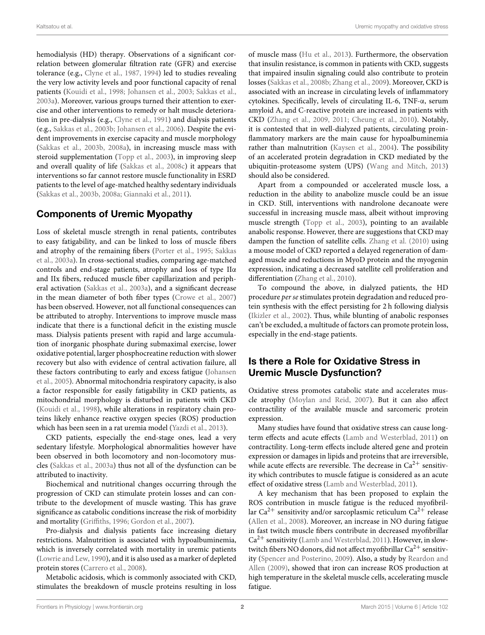hemodialysis (HD) therapy. Observations of a significant correlation between glomerular filtration rate (GFR) and exercise tolerance (e.g., [Clyne et al., 1987,](#page-4-1) [1994\)](#page-4-2) led to studies revealing the very low activity levels and poor functional capacity of renal patients [\(Kouidi et al., 1998;](#page-5-1) [Johansen et al., 2003;](#page-5-2) [Sakkas et al.,](#page-5-3) [2003a\)](#page-5-3). Moreover, various groups turned their attention to exercise and other interventions to remedy or halt muscle deterioration in pre-dialysis (e.g., [Clyne et al., 1991\)](#page-4-3) and dialysis patients (e.g., [Sakkas et al., 2003b;](#page-5-4) [Johansen et al., 2006\)](#page-5-5). Despite the evident improvements in exercise capacity and muscle morphology [\(Sakkas et al., 2003b,](#page-5-4) [2008a\)](#page-5-6), in increasing muscle mass with steroid supplementation [\(Topp et al., 2003\)](#page-5-7), in improving sleep and overall quality of life [\(Sakkas et al., 2008c\)](#page-5-8) it appears that interventions so far cannot restore muscle functionality in ESRD patients to the level of age-matched healthy sedentary individuals [\(Sakkas et al., 2003b,](#page-5-4) [2008a;](#page-5-6) [Giannaki et al., 2011\)](#page-5-9).

# Components of Uremic Myopathy

Loss of skeletal muscle strength in renal patients, contributes to easy fatigability, and can be linked to loss of muscle fibers and atrophy of the remaining fibers [\(Porter et al., 1995;](#page-5-10) Sakkas et al., [2003a\)](#page-5-3). In cross-sectional studies, comparing age-matched controls and end-stage patients, atrophy and loss of type IIα and IIx fibers, reduced muscle fiber capillarization and peripheral activation [\(Sakkas et al., 2003a\)](#page-5-3), and a significant decrease in the mean diameter of both fiber types [\(Crowe et al., 2007\)](#page-4-4) has been observed. However, not all functional consequences can be attributed to atrophy. Interventions to improve muscle mass indicate that there is a functional deficit in the existing muscle mass. Dialysis patients present with rapid and large accumulation of inorganic phosphate during submaximal exercise, lower oxidative potential, larger phosphocreatine reduction with slower recovery but also with evidence of central activation failure, all these factors contributing to early and excess fatigue (Johansen et al., [2005\)](#page-5-11). Abnormal mitochondria respiratory capacity, is also a factor responsible for easily fatigability in CKD patients, as mitochondrial morphology is disturbed in patients with CKD [\(Kouidi et al., 1998\)](#page-5-1), while alterations in respiratory chain proteins likely enhance reactive oxygen species (ROS) production which has been seen in a rat uremia model [\(Yazdi et al., 2013\)](#page-6-1).

CKD patients, especially the end-stage ones, lead a very sedentary lifestyle. Morphological abnormalities however have been observed in both locomotory and non-locomotory muscles [\(Sakkas et al., 2003a\)](#page-5-3) thus not all of the dysfunction can be attributed to inactivity.

Biochemical and nutritional changes occurring through the progression of CKD can stimulate protein losses and can contribute to the development of muscle wasting. This has grave significance as catabolic conditions increase the risk of morbidity and mortality [\(Griffiths, 1996;](#page-5-12) [Gordon et al., 2007\)](#page-5-13).

Pro-dialysis and dialysis patients face increasing dietary restrictions. Malnutrition is associated with hypoalbuminemia, which is inversely correlated with mortality in uremic patients [\(Lowrie and Lew, 1990\)](#page-5-14), and it is also used as a marker of depleted protein stores [\(Carrero et al., 2008\)](#page-4-5).

Metabolic acidosis, which is commonly associated with CKD, stimulates the breakdown of muscle proteins resulting in loss of muscle mass [\(Hu et al., 2013\)](#page-5-15). Furthermore, the observation that insulin resistance, is common in patients with CKD, suggests that impaired insulin signaling could also contribute to protein losses [\(Sakkas et al., 2008b;](#page-5-16) [Zhang et al., 2009\)](#page-6-2). Moreover, CKD is associated with an increase in circulating levels of inflammatory cytokines. Specifically, levels of circulating IL-6, TNF-α, serum amyloid A, and C-reactive protein are increased in patients with CKD [\(Zhang et al., 2009,](#page-6-2) [2011;](#page-6-3) [Cheung et al., 2010\)](#page-4-6). Notably, it is contested that in well-dialyzed patients, circulating proinflammatory markers are the main cause for hypoalbuminemia rather than malnutrition [\(Kaysen et al., 2004\)](#page-5-17). The possibility of an accelerated protein degradation in CKD mediated by the ubiquitin-proteasome system (UPS) [\(Wang and Mitch, 2013\)](#page-5-18) should also be considered.

Apart from a compounded or accelerated muscle loss, a reduction in the ability to anabolize muscle could be an issue in CKD. Still, interventions with nandrolone decanoate were successful in increasing muscle mass, albeit without improving muscle strength [\(Topp et al., 2003\)](#page-5-7), pointing to an available anabolic response. However, there are suggestions that CKD may dampen the function of satellite cells. [Zhang et al. \(2010\)](#page-6-4) using a mouse model of CKD reported a delayed regeneration of damaged muscle and reductions in MyoD protein and the myogenin expression, indicating a decreased satellite cell proliferation and differentiation [\(Zhang et al., 2010\)](#page-6-4).

To compound the above, in dialyzed patients, the HD procedure per se stimulates protein degradation and reduced protein synthesis with the effect persisting for 2 h following dialysis [\(Ikizler et al., 2002\)](#page-5-19). Thus, while blunting of anabolic responses can't be excluded, a multitude of factors can promote protein loss, especially in the end-stage patients.

# Is there a Role for Oxidative Stress in Uremic Muscle Dysfunction?

Oxidative stress promotes catabolic state and accelerates muscle atrophy [\(Moylan and Reid, 2007\)](#page-5-20). But it can also affect contractility of the available muscle and sarcomeric protein expression.

Many studies have found that oxidative stress can cause longterm effects and acute effects [\(Lamb and Westerblad, 2011\)](#page-5-21) on contractility. Long-term effects include altered gene and protein expression or damages in lipids and proteins that are irreversible, while acute effects are reversible. The decrease in  $Ca^{2+}$  sensitivity which contributes to muscle fatigue is considered as an acute effect of oxidative stress [\(Lamb and Westerblad, 2011\)](#page-5-21).

A key mechanism that has been proposed to explain the ROS contribution in muscle fatigue is the reduced myofibrillar Ca<sup>2+</sup> sensitivity and/or sarcoplasmic reticulum Ca<sup>2+</sup> release [\(Allen et al., 2008\)](#page-4-7). Moreover, an increase in NO during fatigue in fast twitch muscle fibers contribute in decreased myofibrillar  $Ca<sup>2+</sup>$  sensitivity [\(Lamb and Westerblad, 2011\)](#page-5-21). However, in slowtwitch fibers NO donors, did not affect myofibrillar  $Ca^{2+}$  sensitivity [\(Spencer and Posterino, 2009\)](#page-5-22). Also, a study by Reardon and Allen [\(2009\)](#page-5-23), showed that iron can increase ROS production at high temperature in the skeletal muscle cells, accelerating muscle fatigue.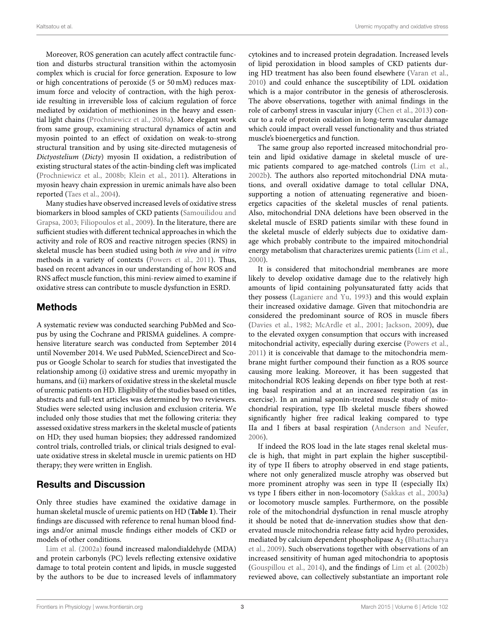Moreover, ROS generation can acutely affect contractile function and disturbs structural transition within the actomyosin complex which is crucial for force generation. Exposure to low or high concentrations of peroxide (5 or 50 mM) reduces maximum force and velocity of contraction, with the high peroxide resulting in irreversible loss of calcium regulation of force mediated by oxidation of methionines in the heavy and essential light chains [\(Prochniewicz et al., 2008a\)](#page-5-24). More elegant work from same group, examining structural dynamics of actin and myosin pointed to an effect of oxidation on weak-to-strong structural transition and by using site-directed mutagenesis of Dictyostelium (Dicty) myosin II oxidation, a redistribution of existing structural states of the actin-binding cleft was implicated [\(Prochniewicz et al., 2008b;](#page-5-25) [Klein et al., 2011\)](#page-5-26). Alterations in myosin heavy chain expression in uremic animals have also been reported [\(Taes et al., 2004\)](#page-5-27).

Many studies have observed increased levels of oxidative stress biomarkers in blood samples of CKD patients (Samouilidou and Grapsa, [2003;](#page-5-28) [Filiopoulos et al., 2009\)](#page-4-8). In the literature, there are sufficient studies with different technical approaches in which the activity and role of ROS and reactive nitrogen species (RNS) in skeletal muscle has been studied using both in vivo and in vitro methods in a variety of contexts [\(Powers et al., 2011\)](#page-5-29). Thus, based on recent advances in our understanding of how ROS and RNS affect muscle function, this mini-review aimed to examine if oxidative stress can contribute to muscle dysfunction in ESRD.

# Methods

A systematic review was conducted searching PubMed and Scopus by using the Cochrane and PRISMA guidelines. A comprehensive literature search was conducted from September 2014 until November 2014. We used PubMed, ScienceDirect and Scopus or Google Scholar to search for studies that investigated the relationship among (i) oxidative stress and uremic myopathy in humans, and (ii) markers of oxidative stress in the skeletal muscle of uremic patients on HD. Eligibility of the studies based on titles, abstracts and full-text articles was determined by two reviewers. Studies were selected using inclusion and exclusion criteria. We included only those studies that met the following criteria: they assessed oxidative stress markers in the skeletal muscle of patients on HD; they used human biopsies; they addressed randomized control trials, controlled trials, or clinical trials designed to evaluate oxidative stress in skeletal muscle in uremic patients on HD therapy; they were written in English.

# Results and Discussion

Only three studies have examined the oxidative damage in human skeletal muscle of uremic patients on HD (**[Table 1](#page-3-0)**). Their findings are discussed with reference to renal human blood findings and/or animal muscle findings either models of CKD or models of other conditions.

[Lim et al. \(2002a\)](#page-5-30) found increased malondialdehyde (MDA) and protein carbonyls (PC) levels reflecting extensive oxidative damage to total protein content and lipids, in muscle suggested by the authors to be due to increased levels of inflammatory cytokines and to increased protein degradation. Increased levels of lipid peroxidation in blood samples of CKD patients during HD treatment has also been found elsewhere [\(Varan et al.,](#page-5-31) [2010\)](#page-5-31) and could enhance the susceptibility of LDL oxidation which is a major contributor in the genesis of atherosclerosis. The above observations, together with animal findings in the role of carbonyl stress in vascular injury [\(Chen et al., 2013\)](#page-4-9) concur to a role of protein oxidation in long-term vascular damage which could impact overall vessel functionality and thus striated muscle's bioenergetics and function.

The same group also reported increased mitochondrial protein and lipid oxidative damage in skeletal muscle of uremic patients compared to age-matched controls [\(Lim et al.,](#page-5-32) [2002b\)](#page-5-32). The authors also reported mitochondrial DNA mutations, and overall oxidative damage to total cellular DNA, supporting a notion of attenuating regenerative and bioenergetics capacities of the skeletal muscles of renal patients. Also, mitochondrial DNA deletions have been observed in the skeletal muscle of ESRD patients similar with these found in the skeletal muscle of elderly subjects due to oxidative damage which probably contribute to the impaired mitochondrial energy metabolism that characterizes uremic patients [\(Lim et al.,](#page-5-33) [2000\)](#page-5-33).

It is considered that mitochondrial membranes are more likely to develop oxidative damage due to the relatively high amounts of lipid containing polyunsaturated fatty acids that they possess [\(Laganiere and Yu, 1993\)](#page-5-34) and this would explain their increased oxidative damage. Given that mitochondria are considered the predominant source of ROS in muscle fibers [\(Davies et al., 1982;](#page-4-10) [McArdle et al., 2001;](#page-5-35) [Jackson, 2009\)](#page-5-36), due to the elevated oxygen consumption that occurs with increased mitochondrial activity, especially during exercise [\(Powers et al.,](#page-5-29) [2011\)](#page-5-29) it is conceivable that damage to the mitochondria membrane might further compound their function as a ROS source causing more leaking. Moreover, it has been suggested that mitochondrial ROS leaking depends on fiber type both at resting basal respiration and at an increased respiration (as in exercise). In an animal saponin-treated muscle study of mitochondrial respiration, type IIb skeletal muscle fibers showed significantly higher free radical leaking compared to type IIa and I fibers at basal respiration [\(Anderson and Neufer,](#page-4-11) [2006\)](#page-4-11).

If indeed the ROS load in the late stages renal skeletal muscle is high, that might in part explain the higher susceptibility of type II fibers to atrophy observed in end stage patients, where not only generalized muscle atrophy was observed but more prominent atrophy was seen in type II (especially IIx) vs type I fibers either in non-locomotory [\(Sakkas et al., 2003a\)](#page-5-3) or locomotory muscle samples. Furthermore, on the possible role of the mitochondrial dysfunction in renal muscle atrophy it should be noted that de-innervation studies show that denervated muscle mitochondria release fatty acid hydro peroxides, mediated by calcium dependent phospholipase  $A_2$  (Bhattacharya et al., [2009\)](#page-4-12). Such observations together with observations of an increased sensitivity of human aged mitochondria to apoptosis [\(Gouspillou et al., 2014\)](#page-5-37), and the findings of [Lim et al. \(2002b\)](#page-5-32) reviewed above, can collectively substantiate an important role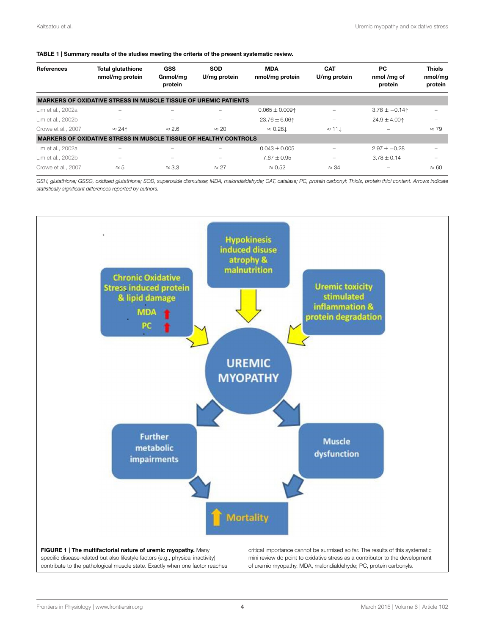<span id="page-3-0"></span>

| TABLE 1   Summary results of the studies meeting the criteria of the present systematic review. |  |
|-------------------------------------------------------------------------------------------------|--|
|                                                                                                 |  |

| References         | <b>Total glutathione</b><br>nmol/mg protein                             | GSS<br>Gnmol/mg<br>protein | <b>SOD</b><br>U/mg protein | <b>MDA</b><br>nmol/mg protein | <b>CAT</b><br>U/mg protein | PC.<br>nmol/mg of<br>protein | Thiols<br>nmol/mg<br>protein |
|--------------------|-------------------------------------------------------------------------|----------------------------|----------------------------|-------------------------------|----------------------------|------------------------------|------------------------------|
|                    | <b>MARKERS OF OXIDATIVE STRESS IN MUSCLE TISSUE OF UREMIC PATIENTS</b>  |                            |                            |                               |                            |                              |                              |
| Lim et al., 2002a  |                                                                         |                            | -                          | $0.065 \pm 0.009$ 1           | -                          | $3.78 \pm -0.14$             |                              |
| Lim et al., 2002b  |                                                                         |                            | $\overline{\phantom{0}}$   | $23.76 \pm 6.06$ 1            |                            | $24.9 \pm 4.00$ ↑            |                              |
| Crowe et al., 2007 | $\approx$ 24 $\uparrow$                                                 | $\approx$ 2.6              | $\approx$ 20               | $\approx 0.281$               | $\approx$ 11 $\downarrow$  |                              | $\approx 79$                 |
|                    | <b>MARKERS OF OXIDATIVE STRESS IN MUSCLE TISSUE OF HEALTHY CONTROLS</b> |                            |                            |                               |                            |                              |                              |
| Lim et al., 2002a  |                                                                         |                            |                            | $0.043 \pm 0.005$             |                            | $2.97 \pm -0.28$             |                              |
| Lim et al., 2002b  | -                                                                       | $\overline{\phantom{a}}$   | $\overline{\phantom{a}}$   | $7.67 + 0.95$                 |                            | $3.78 + 0.14$                |                              |
| Crowe et al., 2007 | $\approx 5$                                                             | $\approx 3.3$              | $\approx$ 27               | $\approx 0.52$                | $\approx$ 34               |                              | $\approx 60$                 |

*GSH, glutathione; GSSG, oxidized glutathione; SOD, superoxide dismutase; MDA, malondialdehyde; CAT, catalase; PC, protein carbonyl; Thiols, protein thiol content. Arrows indicate statistically significant differences reported by authors.*

<span id="page-3-1"></span>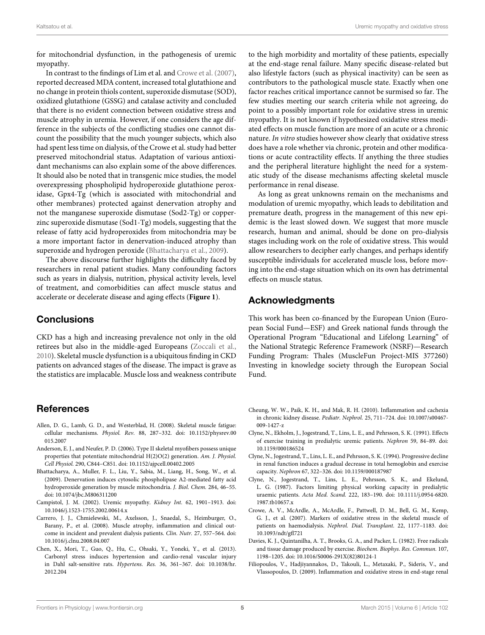for mitochondrial dysfunction, in the pathogenesis of uremic myopathy.

In contrast to the findings of Lim et al. and [Crowe et al. \(2007\)](#page-4-4), reported decreased MDA content, increased total glutathione and no change in protein thiols content, superoxide dismutase (SOD), oxidized glutathione (GSSG) and catalase activity and concluded that there is no evident connection between oxidative stress and muscle atrophy in uremia. However, if one considers the age difference in the subjects of the conflicting studies one cannot discount the possibility that the much younger subjects, which also had spent less time on dialysis, of the Crowe et al. study had better preserved mitochondrial status. Adaptation of various antioxidant mechanisms can also explain some of the above differences. It should also be noted that in transgenic mice studies, the model overexpressing phospholipid hydroperoxide glutathione peroxidase, Gpx4-Tg (which is associated with mitochondrial and other membranes) protected against denervation atrophy and not the manganese superoxide dismutase (Sod2-Tg) or copperzinc superoxide dismutase (Sod1-Tg) models, suggesting that the release of fatty acid hydroperoxides from mitochondria may be a more important factor in denervation-induced atrophy than superoxide and hydrogen peroxide [\(Bhattacharya et al., 2009\)](#page-4-12).

The above discourse further highlights the difficulty faced by researchers in renal patient studies. Many confounding factors such as years in dialysis, nutrition, physical activity levels, level of treatment, and comorbidities can affect muscle status and accelerate or decelerate disease and aging effects (**[Figure 1](#page-3-1)**).

### **Conclusions**

CKD has a high and increasing prevalence not only in the old retirees but also in the middle-aged Europeans [\(Zoccali et al.,](#page-6-0) [2010\)](#page-6-0). Skeletal muscle dysfunction is a ubiquitous finding in CKD patients on advanced stages of the disease. The impact is grave as the statistics are implacable. Muscle loss and weakness contribute

### **References**

- <span id="page-4-7"></span>Allen, D. G., Lamb, G. D., and Westerblad, H. (2008). Skeletal muscle fatigue: cellular mechanisms. Physiol. Rev. 88, 287–332. doi: 10.1152/physrev.00 015.2007
- <span id="page-4-11"></span>Anderson, E. J., and Neufer, P. D. (2006). Type II skeletal myofibers possess unique properties that potentiate mitochondrial H(2)O(2) generation. Am. J. Physiol. Cell Physiol. 290, C844–C851. doi: 10.1152/ajpcell.00402.2005
- <span id="page-4-12"></span>Bhattacharya, A., Muller, F. L., Liu, Y., Sabia, M., Liang, H., Song, W., et al. (2009). Denervation induces cytosolic phospholipase A2-mediated fatty acid hydroperoxide generation by muscle mitochondria. J. Biol. Chem. 284, 46–55. doi: 10.1074/jbc.M806311200
- <span id="page-4-0"></span>Campistol, J. M. (2002). Uremic myopathy. Kidney Int. 62, 1901–1913. doi: 10.1046/j.1523-1755.2002.00614.x
- <span id="page-4-5"></span>Carrero, J. J., Chmielewski, M., Axelsson, J., Snaedal, S., Heimburger, O., Barany, P., et al. (2008). Muscle atrophy, inflammation and clinical outcome in incident and prevalent dialysis patients. Clin. Nutr. 27, 557–564. doi: 10.1016/j.clnu.2008.04.007
- <span id="page-4-9"></span>Chen, X., Mori, T., Guo, Q., Hu, C., Ohsaki, Y., Yoneki, Y., et al. (2013). Carbonyl stress induces hypertension and cardio-renal vascular injury in Dahl salt-sensitive rats. Hypertens. Res. 36, 361–367. doi: 10.1038/hr. 2012.204

to the high morbidity and mortality of these patients, especially at the end-stage renal failure. Many specific disease-related but also lifestyle factors (such as physical inactivity) can be seen as contributors to the pathological muscle state. Exactly when one factor reaches critical importance cannot be surmised so far. The few studies meeting our search criteria while not agreeing, do point to a possibly important role for oxidative stress in uremic myopathy. It is not known if hypothesized oxidative stress mediated effects on muscle function are more of an acute or a chronic nature. In vitro studies however show clearly that oxidative stress does have a role whether via chronic, protein and other modifications or acute contractility effects. If anything the three studies and the peripheral literature highlight the need for a systematic study of the disease mechanisms affecting skeletal muscle performance in renal disease.

As long as great unknowns remain on the mechanisms and modulation of uremic myopathy, which leads to debilitation and premature death, progress in the management of this new epidemic is the least slowed down. We suggest that more muscle research, human and animal, should be done on pro-dialysis stages including work on the role of oxidative stress. This would allow researchers to decipher early changes, and perhaps identify susceptible individuals for accelerated muscle loss, before moving into the end-stage situation which on its own has detrimental effects on muscle status.

### Acknowledgments

This work has been co-financed by the European Union (European Social Fund—ESF) and Greek national funds through the Operational Program "Educational and Lifelong Learning" of the National Strategic Reference Framework (NSRF)—Research Funding Program: Thales (MuscleFun Project-MIS 377260) Investing in knowledge society through the European Social Fund.

- <span id="page-4-6"></span>Cheung, W. W., Paik, K. H., and Mak, R. H. (2010). Inflammation and cachexia in chronic kidney disease. Pediatr. Nephrol. 25, 711–724. doi: 10.1007/s00467- 009-1427-z
- <span id="page-4-3"></span>Clyne, N., Ekholm, J., Jogestrand, T., Lins, L. E., and Pehrsson, S. K. (1991). Effects of exercise training in predialytic uremic patients. Nephron 59, 84–89. doi: 10.1159/000186524
- <span id="page-4-2"></span>Clyne, N., Jogestrand, T., Lins, L. E., and Pehrsson, S. K. (1994). Progressive decline in renal function induces a gradual decrease in total hemoglobin and exercise capacity. Nephron 67, 322–326. doi: 10.1159/000187987
- <span id="page-4-1"></span>Clyne, N., Jogestrand, T., Lins, L. E., Pehrsson, S. K., and Ekelund, L. G. (1987). Factors limiting physical working capacity in predialytic uraemic patients. Acta Med. Scand. 222, 183–190. doi: 10.1111/j.0954-6820. 1987.tb10657.x
- <span id="page-4-4"></span>Crowe, A. V., McArdle, A., McArdle, F., Pattwell, D. M., Bell, G. M., Kemp, G. J., et al. (2007). Markers of oxidative stress in the skeletal muscle of patients on haemodialysis. Nephrol. Dial. Transplant. 22, 1177–1183. doi: 10.1093/ndt/gfl721
- <span id="page-4-10"></span>Davies, K. J., Quintanilha, A. T., Brooks, G. A., and Packer, L. (1982). Free radicals and tissue damage produced by exercise. Biochem. Biophys. Res. Commun. 107, 1198–1205. doi: 10.1016/S0006-291X(82)80124-1
- <span id="page-4-8"></span>Filiopoulos, V., Hadjiyannakos, D., Takouli, L., Metaxaki, P., Sideris, V., and Vlassopoulos, D. (2009). Inflammation and oxidative stress in end-stage renal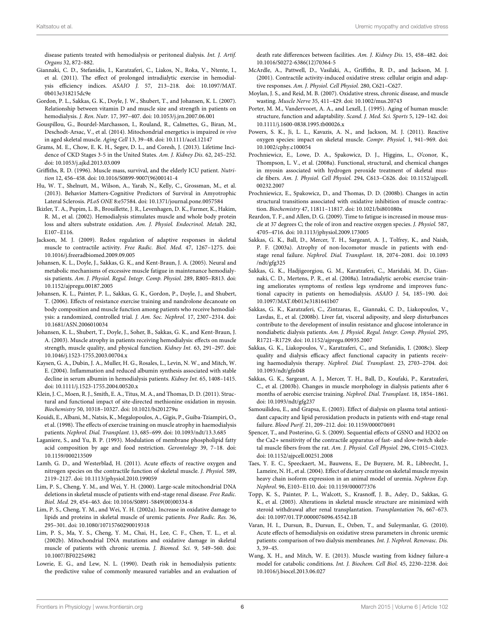disease patients treated with hemodialysis or peritoneal dialysis. Int. J. Artif. Organs 32, 872–882.

- <span id="page-5-9"></span>Giannaki, C. D., Stefanidis, I., Karatzaferi, C., Liakos, N., Roka, V., Ntente, I., et al. (2011). The effect of prolonged intradialytic exercise in hemodialysis efficiency indices. ASAIO J. 57, 213–218. doi: 10.1097/MAT. 0b013e318215dc9e
- <span id="page-5-13"></span>Gordon, P. L., Sakkas, G. K., Doyle, J. W., Shubert, T., and Johansen, K. L. (2007). Relationship between vitamin D and muscle size and strength in patients on hemodialysis. J. Ren. Nutr. 17, 397–407. doi: 10.1053/j.jrn.2007.06.001
- <span id="page-5-37"></span>Gouspillou, G., Bourdel-Marchasson, I., Rouland, R., Calmettes, G., Biran, M., Deschodt-Arsac, V., et al. (2014). Mitochondrial energetics is impaired in vivo in aged skeletal muscle. Aging Cell 13, 39–48. doi: 10.1111/acel.12147
- <span id="page-5-0"></span>Grams, M. E., Chow, E. K. H., Segev, D. L., and Coresh, J. (2013). Lifetime Incidence of CKD Stages 3-5 in the United States. Am. J. Kidney Dis. 62, 245–252. doi: 10.1053/j.ajkd.2013.03.009
- <span id="page-5-12"></span>Griffiths, R. D. (1996). Muscle mass, survival, and the elderly ICU patient. Nutrition 12, 456–458. doi: 10.1016/S0899-9007(96)00141-4
- <span id="page-5-15"></span>Hu, W. T., Shelnutt, M., Wilson, A., Yarab, N., Kelly, C., Grossman, M., et al. (2013). Behavior Matters-Cognitive Predictors of Survival in Amyotrophic Lateral Sclerosis. PLoS ONE 8:e57584. doi: 10.1371/journal.pone.0057584
- <span id="page-5-19"></span>Ikizler, T. A., Pupim, L. B., Brouillette, J. R., Levenhagen, D. K., Farmer, K., Hakim, R. M., et al. (2002). Hemodialysis stimulates muscle and whole body protein loss and alters substrate oxidation. Am. J. Physiol. Endocrinol. Metab. 282, E107–E116.
- <span id="page-5-36"></span>Jackson, M. J. (2009). Redox regulation of adaptive responses in skeletal muscle to contractile activity. Free Radic. Biol. Med. 47, 1267–1275. doi: 10.1016/j.freeradbiomed.2009.09.005
- <span id="page-5-11"></span>Johansen, K. L., Doyle, J., Sakkas, G. K., and Kent-Braun, J. A. (2005). Neural and metabolic mechanisms of excessive muscle fatigue in maintenance hemodialysis patients. Am. J. Physiol. Regul. Integr. Comp. Physiol. 289, R805–R813. doi: 10.1152/ajpregu.00187.2005
- <span id="page-5-5"></span>Johansen, K. L., Painter, P. L., Sakkas, G. K., Gordon, P., Doyle, J., and Shubert, T. (2006). Effects of resistance exercise training and nandrolone decanoate on body composition and muscle function among patients who receive hemodialysis: a randomized, controlled trial. J. Am. Soc. Nephrol. 17, 2307–2314. doi: 10.1681/ASN.2006010034
- <span id="page-5-2"></span>Johansen, K. L., Shubert, T., Doyle, J., Soher, B., Sakkas, G. K., and Kent-Braun, J. A. (2003). Muscle atrophy in patients receiving hemodialysis: effects on muscle strength, muscle quality, and physical function. Kidney Int. 63, 291–297. doi: 10.1046/j.1523-1755.2003.00704.x
- <span id="page-5-17"></span>Kaysen, G. A., Dubin, J. A., Muller, H. G., Rosales, L., Levin, N. W., and Mitch, W. E. (2004). Inflammation and reduced albumin synthesis associated with stable decline in serum albumin in hemodialysis patients. Kidney Int. 65, 1408–1415. doi: 10.1111/j.1523-1755.2004.00520.x
- <span id="page-5-26"></span>Klein, J. C., Moen, R. J., Smith, E. A., Titus, M. A., and Thomas, D. D. (2011). Structural and functional impact of site-directed methionine oxidation in myosin. Biochemistry 50, 10318–10327. doi: 10.1021/bi201279u
- <span id="page-5-1"></span>Kouidi, E., Albani, M., Natsis, K., Megalopoulos, A., Gigis, P., Guiba-Tziampiri, O., et al. (1998). The effects of exercise training on muscle atrophy in haemodialysis patients. Nephrol. Dial. Transplant. 13, 685–699. doi: 10.1093/ndt/13.3.685
- <span id="page-5-34"></span>Laganiere, S., and Yu, B. P. (1993). Modulation of membrane phospholipid fatty acid composition by age and food restriction. Gerontology 39, 7–18. doi: 10.1159/000213509
- <span id="page-5-21"></span>Lamb, G. D., and Westerblad, H. (2011). Acute effects of reactive oxygen and nitrogen species on the contractile function of skeletal muscle. J. Physiol. 589, 2119–2127. doi: 10.1113/jphysiol.2010.199059
- <span id="page-5-33"></span>Lim, P. S., Cheng, Y. M., and Wei, Y. H. (2000). Large-scale mitochondrial DNA deletions in skeletal muscle of patients with end-stage renal disease. Free Radic. Biol. Med. 29, 454–463. doi: 10.1016/S0891-5849(00)00334-8
- <span id="page-5-30"></span>Lim, P. S., Cheng, Y. M., and Wei, Y. H. (2002a). Increase in oxidative damage to lipids and proteins in skeletal muscle of uremic patients. Free Radic. Res. 36, 295–301. doi: 10.1080/10715760290019318
- <span id="page-5-32"></span>Lim, P. S., Ma, Y. S., Cheng, Y. M., Chai, H., Lee, C. F., Chen, T. L., et al. (2002b). Mitochondrial DNA mutations and oxidative damage in skeletal muscle of patients with chronic uremia. J. Biomed. Sci. 9, 549–560. doi: 10.1007/BF02254982
- <span id="page-5-14"></span>Lowrie, E. G., and Lew, N. L. (1990). Death risk in hemodialysis patients: the predictive value of commonly measured variables and an evaluation of

death rate differences between facilities. Am. J. Kidney Dis. 15, 458–482. doi: 10.1016/S0272-6386(12)70364-5

- <span id="page-5-35"></span>McArdle, A., Pattwell, D., Vasilaki, A., Griffiths, R. D., and Jackson, M. J. (2001). Contractile activity-induced oxidative stress: cellular origin and adaptive responses. Am. J. Physiol. Cell Physiol. 280, C621–C627.
- <span id="page-5-20"></span>Moylan, J. S., and Reid, M. B. (2007). Oxidative stress, chronic disease, and muscle wasting. Muscle Nerve 35, 411–429. doi: 10.1002/mus.20743
- <span id="page-5-10"></span>Porter, M. M., Vandervoort, A. A., and Lexell, J. (1995). Aging of human muscle: structure, function and adaptability. Scand. J. Med. Sci. Sports 5, 129–142. doi: 10.1111/j.1600-0838.1995.tb00026.x
- <span id="page-5-29"></span>Powers, S. K., Ji, L. L., Kavazis, A. N., and Jackson, M. J. (2011). Reactive oxygen species: impact on skeletal muscle. Compr. Physiol. 1, 941–969. doi: 10.1002/cphy.c100054
- <span id="page-5-24"></span>Prochniewicz, E., Lowe, D. A., Spakowicz, D. J., Higgins, L., O'conor, K., Thompson, L. V., et al. (2008a). Functional, structural, and chemical changes in myosin associated with hydrogen peroxide treatment of skeletal muscle fibers. Am. J. Physiol. Cell Physiol. 294, C613–C626. doi: 10.1152/ajpcell. 00232.2007
- <span id="page-5-25"></span>Prochniewicz, E., Spakowicz, D., and Thomas, D. D. (2008b). Changes in actin structural transitions associated with oxidative inhibition of muscle contraction. Biochemistry 47, 11811–11817. doi: 10.1021/bi801080x
- <span id="page-5-23"></span>Reardon, T. F., and Allen, D. G. (2009). Time to fatigue is increased in mouse muscle at 37 degrees C; the role of iron and reactive oxygen species. J. Physiol. 587, 4705–4716. doi: 10.1113/jphysiol.2009.173005
- <span id="page-5-3"></span>Sakkas, G. K., Ball, D., Mercer, T. H., Sargeant, A. J., Tolfrey, K., and Naish, P. F. (2003a). Atrophy of non-locomotor muscle in patients with endstage renal failure. Nephrol. Dial. Transplant. 18, 2074–2081. doi: 10.1093 /ndt/gfg325
- <span id="page-5-6"></span>Sakkas, G. K., Hadjigeorgiou, G. M., Karatzaferi, C., Maridaki, M. D., Giannaki, C. D., Mertens, P. R., et al. (2008a). Intradialytic aerobic exercise training ameliorates symptoms of restless legs syndrome and improves functional capacity in patients on hemodialysis. ASAIO J. 54, 185–190. doi: 10.1097/MAT.0b013e3181641b07
- <span id="page-5-16"></span>Sakkas, G. K., Karatzaferi, C., Zintzaras, E., Giannaki, C. D., Liakopoulos, V., Lavdas, E., et al. (2008b). Liver fat, visceral adiposity, and sleep disturbances contribute to the development of insulin resistance and glucose intolerance in nondiabetic dialysis patients. Am. J. Physiol. Regul. Integr. Comp. Physiol. 295, R1721–R1729. doi: 10.1152/ajpregu.00935.2007
- <span id="page-5-8"></span>Sakkas, G. K., Liakopoulos, V., Karatzaferi, C., and Stefanidis, I. (2008c). Sleep quality and dialysis efficacy affect functional capacity in patients receiving haemodialysis therapy. Nephrol. Dial. Transplant. 23, 2703–2704. doi: 10.1093/ndt/gfn048
- <span id="page-5-4"></span>Sakkas, G. K., Sargeant, A. J., Mercer, T. H., Ball, D., Koufaki, P., Karatzaferi, C., et al. (2003b). Changes in muscle morphology in dialysis patients after 6 months of aerobic exercise training. Nephrol. Dial. Transplant. 18, 1854–1861. doi: 10.1093/ndt/gfg237
- <span id="page-5-28"></span>Samouilidou, E., and Grapsa, E. (2003). Effect of dialysis on plasma total antioxidant capacity and lipid peroxidation products in patients with end-stage renal failure. Blood Purif. 21, 209–212. doi: 10.1159/000070691
- <span id="page-5-22"></span>Spencer, T., and Posterino, G. S. (2009). Sequential effects of GSNO and H2O2 on the Ca2+ sensitivity of the contractile apparatus of fast- and slow-twitch skeletal muscle fibers from the rat. Am. J. Physiol. Cell Physiol. 296, C1015–C1023. doi: 10.1152/ajpcell.00251.2008
- <span id="page-5-27"></span>Taes, Y. E. C., Speeckaert, M., Bauwens, E., De Buyzere, M. R., Libbrecht, J., Lameire, N. H., et al. (2004). Effect of dietary creatine on skeletal muscle myosin heavy chain isoform expression in an animal model of uremia. Nephron Exp. Nephrol. 96, E103–E110. doi: 10.1159/000077376
- <span id="page-5-7"></span>Topp, K. S., Painter, P. L., Walcott, S., Krasnoff, J. B., Adey, D., Sakkas, G. K., et al. (2003). Alterations in skeletal muscle structure are minimized with steroid withdrawal after renal transplantation. Transplantation 76, 667–673. doi: 10.1097/01.TP.0000076096.45542.1B
- <span id="page-5-31"></span>Varan, H. I., Dursun, B., Dursun, E., Ozben, T., and Suleymanlar, G. (2010). Acute effects of hemodialysis on oxidative stress parameters in chronic uremic patients: comparison of two dialysis membranes. Int. J. Nephrol. Renovasc. Dis. 3, 39–45.
- <span id="page-5-18"></span>Wang, X. H., and Mitch, W. E. (2013). Muscle wasting from kidney failure-a model for catabolic conditions. Int. J. Biochem. Cell Biol. 45, 2230–2238. doi: 10.1016/j.biocel.2013.06.027